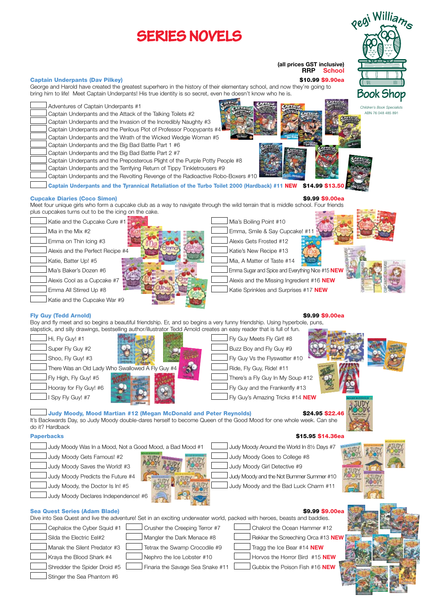

Stinger the Sea Phantom #6

Shredder the Spider Droid #5 Finaria the Savage Sea Snake #11 Gubbix the Poison Fish #16 **NEW**